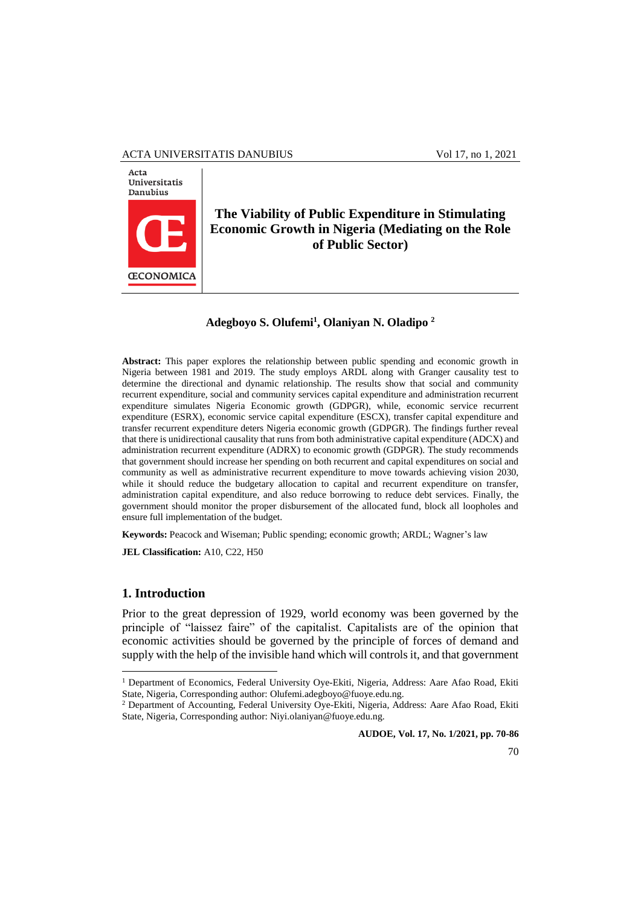#### ACTA UNIVERSITATIS DANUBIUS Vol 17, no 1, 2021



# **The Viability of Public Expenditure in Stimulating Economic Growth in Nigeria (Mediating on the Role of Public Sector)**

## **Adegboyo S. Olufemi<sup>1</sup> , Olaniyan N. Oladipo <sup>2</sup>**

**Abstract:** This paper explores the relationship between public spending and economic growth in Nigeria between 1981 and 2019. The study employs ARDL along with Granger causality test to determine the directional and dynamic relationship. The results show that social and community recurrent expenditure, social and community services capital expenditure and administration recurrent expenditure simulates Nigeria Economic growth (GDPGR), while, economic service recurrent expenditure (ESRX), economic service capital expenditure (ESCX), transfer capital expenditure and transfer recurrent expenditure deters Nigeria economic growth (GDPGR). The findings further reveal that there is unidirectional causality that runs from both administrative capital expenditure (ADCX) and administration recurrent expenditure (ADRX) to economic growth (GDPGR). The study recommends that government should increase her spending on both recurrent and capital expenditures on social and community as well as administrative recurrent expenditure to move towards achieving vision 2030, while it should reduce the budgetary allocation to capital and recurrent expenditure on transfer, administration capital expenditure, and also reduce borrowing to reduce debt services. Finally, the government should monitor the proper disbursement of the allocated fund, block all loopholes and ensure full implementation of the budget.

**Keywords:** Peacock and Wiseman; Public spending; economic growth; ARDL; Wagner's law

**JEL Classification:** A10, C22, H50

## **1. Introduction**

 $\overline{a}$ 

Prior to the great depression of 1929, world economy was been governed by the principle of "laissez faire" of the capitalist. Capitalists are of the opinion that economic activities should be governed by the principle of forces of demand and supply with the help of the invisible hand which will controls it, and that government

**AUDOE, Vol. 17, No. 1/2021, pp. 70-86**

<sup>&</sup>lt;sup>1</sup> Department of Economics, Federal University Oye-Ekiti, Nigeria, Address: Aare Afao Road, Ekiti State, Nigeria, Corresponding author: Olufemi.adegboyo@fuoye.edu.ng.

<sup>2</sup> Department of Accounting, Federal University Oye-Ekiti, Nigeria, Address: Aare Afao Road, Ekiti State, Nigeria, Corresponding author: Niyi.olaniyan@fuoye.edu.ng.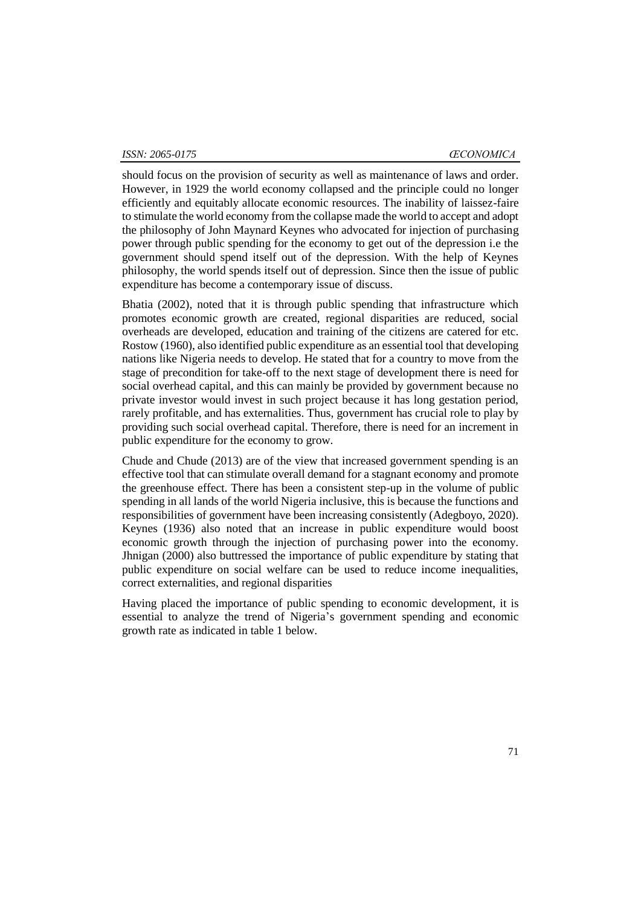should focus on the provision of security as well as maintenance of laws and order. However, in 1929 the world economy collapsed and the principle could no longer efficiently and equitably allocate economic resources. The inability of laissez-faire to stimulate the world economy from the collapse made the world to accept and adopt the philosophy of John Maynard Keynes who advocated for injection of purchasing power through public spending for the economy to get out of the depression i.e the government should spend itself out of the depression. With the help of Keynes philosophy, the world spends itself out of depression. Since then the issue of public expenditure has become a contemporary issue of discuss.

Bhatia (2002), noted that it is through public spending that infrastructure which promotes economic growth are created, regional disparities are reduced, social overheads are developed, education and training of the citizens are catered for etc. Rostow (1960), also identified public expenditure as an essential tool that developing nations like Nigeria needs to develop. He stated that for a country to move from the stage of precondition for take-off to the next stage of development there is need for social overhead capital, and this can mainly be provided by government because no private investor would invest in such project because it has long gestation period, rarely profitable, and has externalities. Thus, government has crucial role to play by providing such social overhead capital. Therefore, there is need for an increment in public expenditure for the economy to grow.

Chude and Chude (2013) are of the view that increased government spending is an effective tool that can stimulate overall demand for a stagnant economy and promote the greenhouse effect. There has been a consistent step-up in the volume of public spending in all lands of the world Nigeria inclusive, this is because the functions and responsibilities of government have been increasing consistently (Adegboyo, 2020). Keynes (1936) also noted that an increase in public expenditure would boost economic growth through the injection of purchasing power into the economy. Jhnigan (2000) also buttressed the importance of public expenditure by stating that public expenditure on social welfare can be used to reduce income inequalities, correct externalities, and regional disparities

Having placed the importance of public spending to economic development, it is essential to analyze the trend of Nigeria's government spending and economic growth rate as indicated in table 1 below.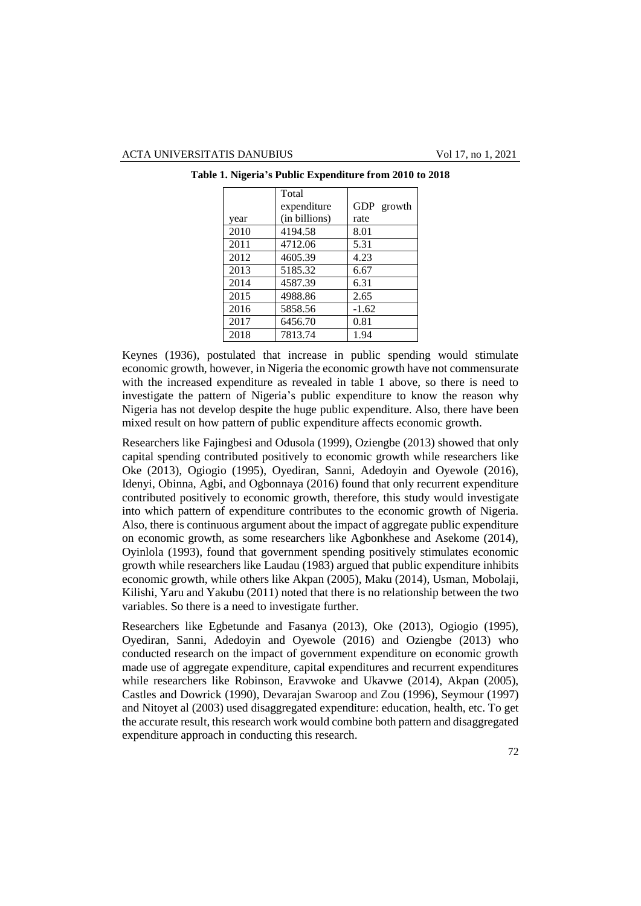|      | Total         |            |
|------|---------------|------------|
|      | expenditure   | GDP growth |
| year | (in billions) | rate       |
| 2010 | 4194.58       | 8.01       |
| 2011 | 4712.06       | 5.31       |
| 2012 | 4605.39       | 4.23       |
| 2013 | 5185.32       | 6.67       |
| 2014 | 4587.39       | 6.31       |
| 2015 | 4988.86       | 2.65       |
| 2016 | 5858.56       | $-1.62$    |
| 2017 | 6456.70       | 0.81       |
| 2018 | 7813.74       | 1.94       |

**Table 1. Nigeria's Public Expenditure from 2010 to 2018**

Keynes (1936), postulated that increase in public spending would stimulate economic growth, however, in Nigeria the economic growth have not commensurate with the increased expenditure as revealed in table 1 above, so there is need to investigate the pattern of Nigeria's public expenditure to know the reason why Nigeria has not develop despite the huge public expenditure. Also, there have been mixed result on how pattern of public expenditure affects economic growth.

Researchers like Fajingbesi and Odusola (1999), Oziengbe (2013) showed that only capital spending contributed positively to economic growth while researchers like Oke (2013), Ogiogio (1995), Oyediran, Sanni, Adedoyin and Oyewole (2016), Idenyi, Obinna, Agbi, and Ogbonnaya (2016) found that only recurrent expenditure contributed positively to economic growth, therefore, this study would investigate into which pattern of expenditure contributes to the economic growth of Nigeria. Also, there is continuous argument about the impact of aggregate public expenditure on economic growth, as some researchers like Agbonkhese and Asekome (2014), Oyinlola (1993), found that government spending positively stimulates economic growth while researchers like Laudau (1983) argued that public expenditure inhibits economic growth, while others like Akpan (2005), Maku (2014), Usman, Mobolaji, Kilishi, Yaru and Yakubu (2011) noted that there is no relationship between the two variables. So there is a need to investigate further.

Researchers like Egbetunde and Fasanya (2013), Oke (2013), Ogiogio (1995), Oyediran, Sanni, Adedoyin and Oyewole (2016) and Oziengbe (2013) who conducted research on the impact of government expenditure on economic growth made use of aggregate expenditure, capital expenditures and recurrent expenditures while researchers like Robinson, Eravwoke and Ukavwe (2014), Akpan (2005), Castles and Dowrick (1990), Devarajan Swaroop and Zou (1996), Seymour (1997) and Nitoyet al (2003) used disaggregated expenditure: education, health, etc. To get the accurate result, this research work would combine both pattern and disaggregated expenditure approach in conducting this research.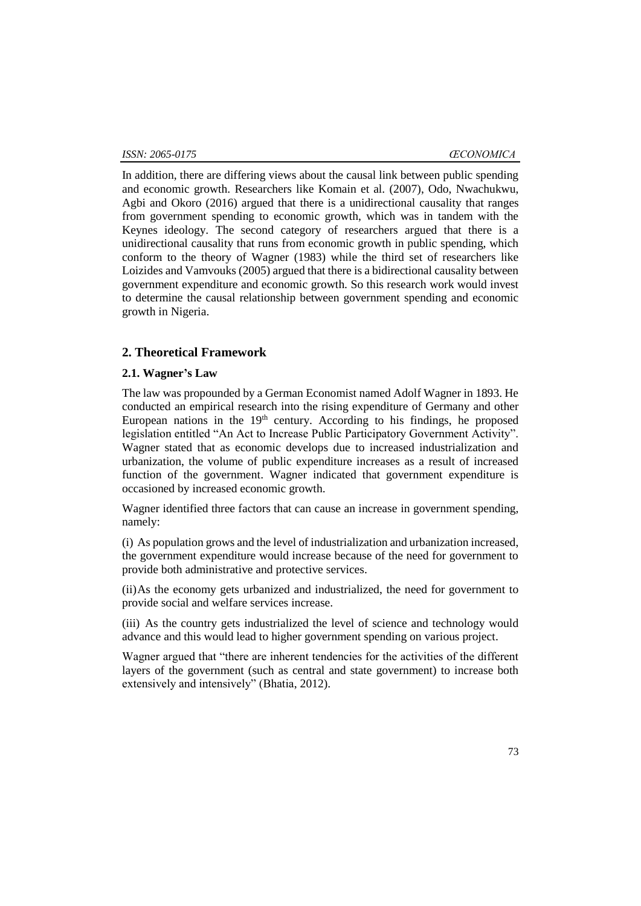In addition, there are differing views about the causal link between public spending and economic growth. Researchers like Komain et al. (2007), Odo, Nwachukwu, Agbi and Okoro (2016) argued that there is a unidirectional causality that ranges from government spending to economic growth, which was in tandem with the Keynes ideology. The second category of researchers argued that there is a unidirectional causality that runs from economic growth in public spending, which conform to the theory of Wagner (1983) while the third set of researchers like Loizides and Vamvouks (2005) argued that there is a bidirectional causality between government expenditure and economic growth. So this research work would invest to determine the causal relationship between government spending and economic growth in Nigeria.

# **2. Theoretical Framework**

#### **2.1. Wagner's Law**

The law was propounded by a German Economist named Adolf Wagner in 1893. He conducted an empirical research into the rising expenditure of Germany and other European nations in the  $19<sup>th</sup>$  century. According to his findings, he proposed legislation entitled "An Act to Increase Public Participatory Government Activity". Wagner stated that as economic develops due to increased industrialization and urbanization, the volume of public expenditure increases as a result of increased function of the government. Wagner indicated that government expenditure is occasioned by increased economic growth.

Wagner identified three factors that can cause an increase in government spending, namely:

(i) As population grows and the level of industrialization and urbanization increased, the government expenditure would increase because of the need for government to provide both administrative and protective services.

(ii)As the economy gets urbanized and industrialized, the need for government to provide social and welfare services increase.

(iii) As the country gets industrialized the level of science and technology would advance and this would lead to higher government spending on various project.

Wagner argued that "there are inherent tendencies for the activities of the different layers of the government (such as central and state government) to increase both extensively and intensively" (Bhatia, 2012).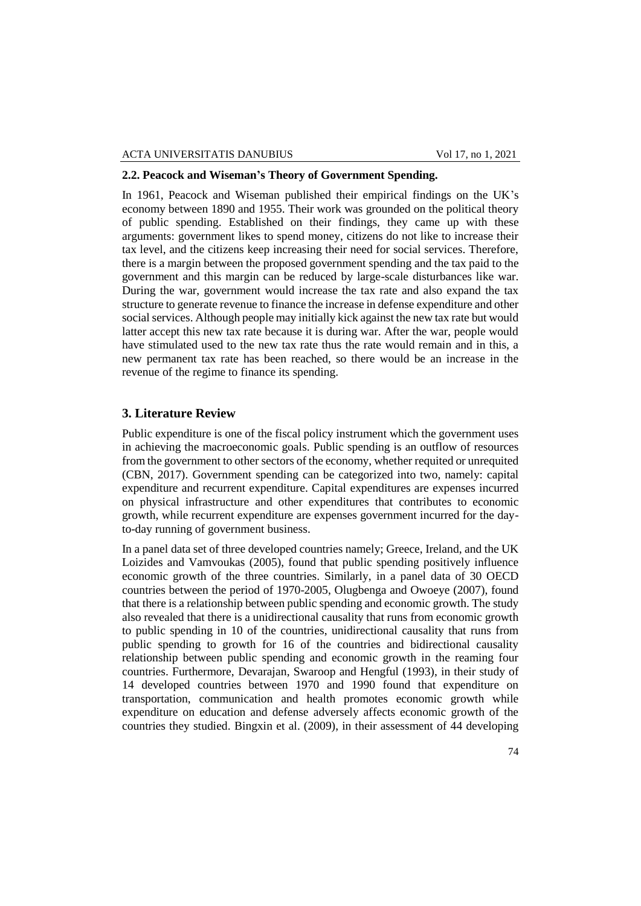# **2.2. Peacock and Wiseman's Theory of Government Spending.**

In 1961, Peacock and Wiseman published their empirical findings on the UK's economy between 1890 and 1955. Their work was grounded on the political theory of public spending. Established on their findings, they came up with these arguments: government likes to spend money, citizens do not like to increase their tax level, and the citizens keep increasing their need for social services. Therefore, there is a margin between the proposed government spending and the tax paid to the government and this margin can be reduced by large-scale disturbances like war. During the war, government would increase the tax rate and also expand the tax structure to generate revenue to finance the increase in defense expenditure and other social services. Although people may initially kick against the new tax rate but would latter accept this new tax rate because it is during war. After the war, people would have stimulated used to the new tax rate thus the rate would remain and in this, a new permanent tax rate has been reached, so there would be an increase in the revenue of the regime to finance its spending.

# **3. Literature Review**

Public expenditure is one of the fiscal policy instrument which the government uses in achieving the macroeconomic goals. Public spending is an outflow of resources from the government to other sectors of the economy, whether requited or unrequited (CBN, 2017). Government spending can be categorized into two, namely: capital expenditure and recurrent expenditure. Capital expenditures are expenses incurred on physical infrastructure and other expenditures that contributes to economic growth, while recurrent expenditure are expenses government incurred for the dayto-day running of government business.

In a panel data set of three developed countries namely; Greece, Ireland, and the UK Loizides and Vamvoukas (2005), found that public spending positively influence economic growth of the three countries. Similarly, in a panel data of 30 OECD countries between the period of 1970-2005, Olugbenga and Owoeye (2007), found that there is a relationship between public spending and economic growth. The study also revealed that there is a unidirectional causality that runs from economic growth to public spending in 10 of the countries, unidirectional causality that runs from public spending to growth for 16 of the countries and bidirectional causality relationship between public spending and economic growth in the reaming four countries. Furthermore, Devarajan, Swaroop and Hengful (1993), in their study of 14 developed countries between 1970 and 1990 found that expenditure on transportation, communication and health promotes economic growth while expenditure on education and defense adversely affects economic growth of the countries they studied. Bingxin et al. (2009), in their assessment of 44 developing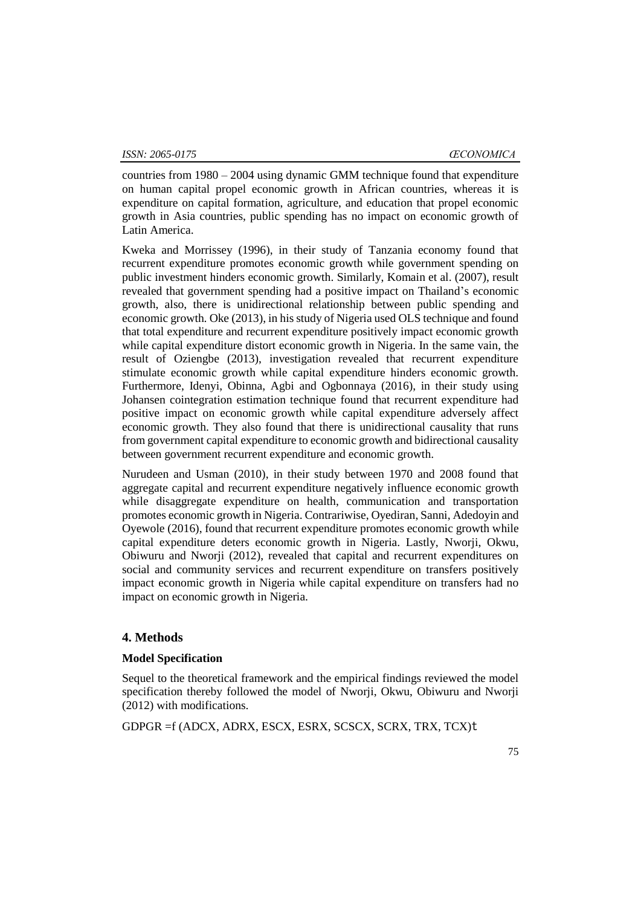countries from 1980 – 2004 using dynamic GMM technique found that expenditure on human capital propel economic growth in African countries, whereas it is expenditure on capital formation, agriculture, and education that propel economic growth in Asia countries, public spending has no impact on economic growth of Latin America.

Kweka and Morrissey (1996), in their study of Tanzania economy found that recurrent expenditure promotes economic growth while government spending on public investment hinders economic growth. Similarly, Komain et al. (2007), result revealed that government spending had a positive impact on Thailand's economic growth, also, there is unidirectional relationship between public spending and economic growth. Oke (2013), in his study of Nigeria used OLS technique and found that total expenditure and recurrent expenditure positively impact economic growth while capital expenditure distort economic growth in Nigeria. In the same vain, the result of Oziengbe (2013), investigation revealed that recurrent expenditure stimulate economic growth while capital expenditure hinders economic growth. Furthermore, Idenyi, Obinna, Agbi and Ogbonnaya (2016), in their study using Johansen cointegration estimation technique found that recurrent expenditure had positive impact on economic growth while capital expenditure adversely affect economic growth. They also found that there is unidirectional causality that runs from government capital expenditure to economic growth and bidirectional causality between government recurrent expenditure and economic growth.

Nurudeen and Usman (2010), in their study between 1970 and 2008 found that aggregate capital and recurrent expenditure negatively influence economic growth while disaggregate expenditure on health, communication and transportation promotes economic growth in Nigeria. Contrariwise, Oyediran, Sanni, Adedoyin and Oyewole (2016), found that recurrent expenditure promotes economic growth while capital expenditure deters economic growth in Nigeria. Lastly, Nworji, Okwu, Obiwuru and Nworji (2012), revealed that capital and recurrent expenditures on social and community services and recurrent expenditure on transfers positively impact economic growth in Nigeria while capital expenditure on transfers had no impact on economic growth in Nigeria.

#### **4. Methods**

#### **Model Specification**

Sequel to the theoretical framework and the empirical findings reviewed the model specification thereby followed the model of Nworji, Okwu, Obiwuru and Nworji (2012) with modifications.

GDPGR =f (ADCX, ADRX, ESCX, ESRX, SCSCX, SCRX, TRX, TCX)t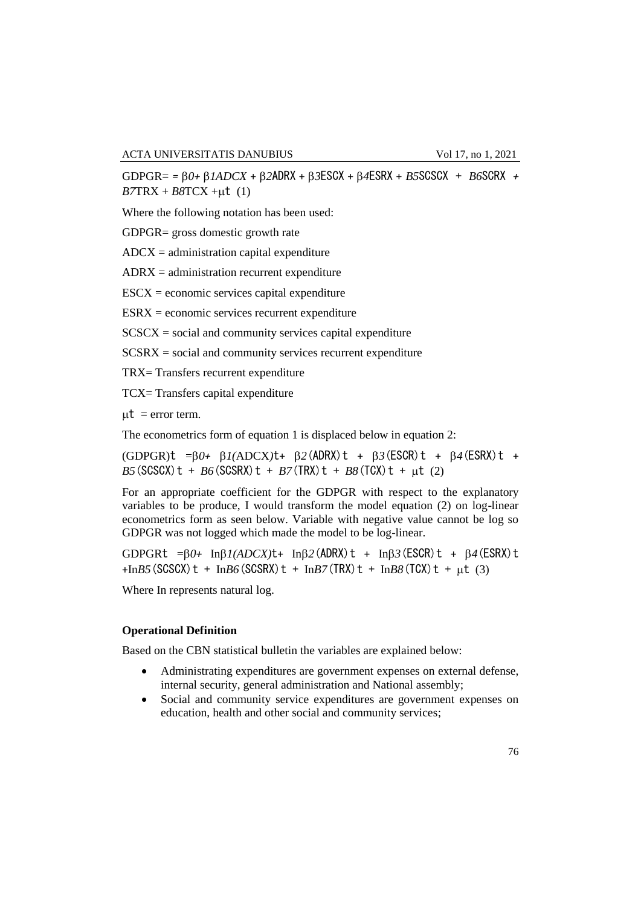GDPGR= *= 0+ 1ADCX* + *2*ADRX + *3*ESCX + *4*ESRX + *B5*SCSCX + *B6*SCRX *+*   $B7TRX + B8TCX +\mu t$  (1)

Where the following notation has been used:

GDPGR= gross domestic growth rate

 $ADCX =$  administration capital expenditure

 $ADRX =$  administration recurrent expenditure

 $\text{ESCX} =$  economic services capital expenditure

 $ESRX = economic$  services recurrent expenditure

 $SCSCX = social$  and community services capital expenditure

 $SCSRX = social$  and community services recurrent expenditure

TRX= Transfers recurrent expenditure

TCX= Transfers capital expenditure

 $\mu t$  = error term.

The econometrics form of equation 1 is displaced below in equation 2:

 $(GDPGR)$ t = $\beta$ *0+*  $\beta$ *1*(ADCX)t+  $\beta$ 2(ADRX)t +  $\beta$ 3(ESCR)t +  $\beta$ 4(ESRX)t +  $B5(SCSCX)t + B6(SCSRX)t + B7(TRX)t + B8(TCX)t + \mu t$  (2)

For an appropriate coefficient for the GDPGR with respect to the explanatory variables to be produce, I would transform the model equation (2) on log-linear econometrics form as seen below. Variable with negative value cannot be log so GDPGR was not logged which made the model to be log-linear.

GDPGRt  $=\beta 0$ + In $\beta I(ADCX)t$  + In $\beta 2$  (ADRX) t + In $\beta 3$  (ESCR) t +  $\beta 4$  (ESRX) t  $+$ In*B5*(SCSCX)t + In*B6*(SCSRX)t + In*B7*(TRX)t + In*B8*(TCX)t +  $\mu$ t (3)

Where In represents natural log.

#### **Operational Definition**

Based on the CBN statistical bulletin the variables are explained below:

- Administrating expenditures are government expenses on external defense, internal security, general administration and National assembly;
- Social and community service expenditures are government expenses on education, health and other social and community services;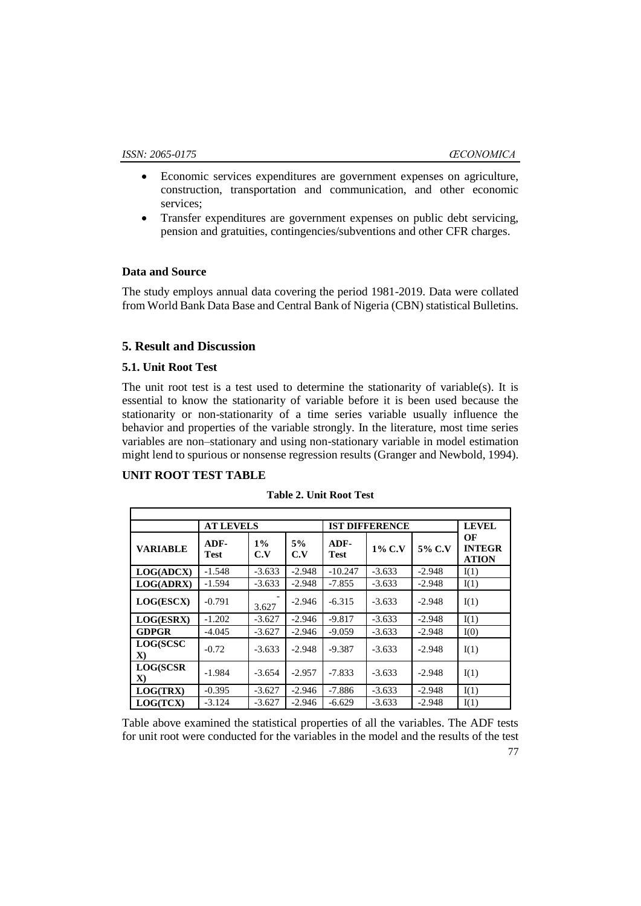- Economic services expenditures are government expenses on agriculture, construction, transportation and communication, and other economic services;
- Transfer expenditures are government expenses on public debt servicing, pension and gratuities, contingencies/subventions and other CFR charges.

# **Data and Source**

The study employs annual data covering the period 1981-2019. Data were collated from World Bank Data Base and Central Bank of Nigeria (CBN) statistical Bulletins.

# **5. Result and Discussion**

# **5.1. Unit Root Test**

The unit root test is a test used to determine the stationarity of variable(s). It is essential to know the stationarity of variable before it is been used because the stationarity or non-stationarity of a time series variable usually influence the behavior and properties of the variable strongly. In the literature, most time series variables are non–stationary and using non-stationary variable in model estimation might lend to spurious or nonsense regression results (Granger and Newbold, 1994).

## **UNIT ROOT TEST TABLE**

|                          | <b>AT LEVELS</b> |              |           | <b>IST DIFFERENCE</b> |           |          | <b>LEVEL</b>                        |
|--------------------------|------------------|--------------|-----------|-----------------------|-----------|----------|-------------------------------------|
| <b>VARIABLE</b>          | ADF-<br>Test     | $1\%$<br>C.V | 5%<br>C.V | ADF-<br><b>Test</b>   | $1\%$ C.V | 5% C.V   | OЕ<br><b>INTEGR</b><br><b>ATION</b> |
| LOG(ADCX)                | $-1.548$         | $-3.633$     | $-2.948$  | $-10.247$             | $-3.633$  | $-2.948$ | I(1)                                |
| <b>LOG(ADRX)</b>         | $-1.594$         | $-3.633$     | $-2.948$  | $-7.855$              | $-3.633$  | $-2.948$ | I(1)                                |
| <b>LOG(ESCX)</b>         | $-0.791$         | 3.627        | $-2.946$  | $-6.315$              | $-3.633$  | $-2.948$ | I(1)                                |
| LOG(ESRX)                | $-1.202$         | $-3.627$     | $-2.946$  | $-9.817$              | $-3.633$  | $-2.948$ | I(1)                                |
| <b>GDPGR</b>             | $-4.045$         | $-3.627$     | $-2.946$  | $-9.059$              | $-3.633$  | $-2.948$ | I(0)                                |
| LOG(SCSC<br>$\mathbf{X}$ | $-0.72$          | $-3.633$     | $-2.948$  | $-9.387$              | $-3.633$  | $-2.948$ | I(1)                                |
| LOG(SCSR<br>$\mathbf{X}$ | $-1.984$         | $-3.654$     | $-2.957$  | $-7.833$              | $-3.633$  | $-2.948$ | I(1)                                |
| LOG(TRX)                 | $-0.395$         | $-3.627$     | $-2.946$  | -7.886                | $-3.633$  | $-2.948$ | I(1)                                |
| LOG(TCX)                 | $-3.124$         | $-3.627$     | $-2.946$  | $-6.629$              | $-3.633$  | $-2.948$ | I(1)                                |

**Table 2. Unit Root Test**

Table above examined the statistical properties of all the variables. The ADF tests for unit root were conducted for the variables in the model and the results of the test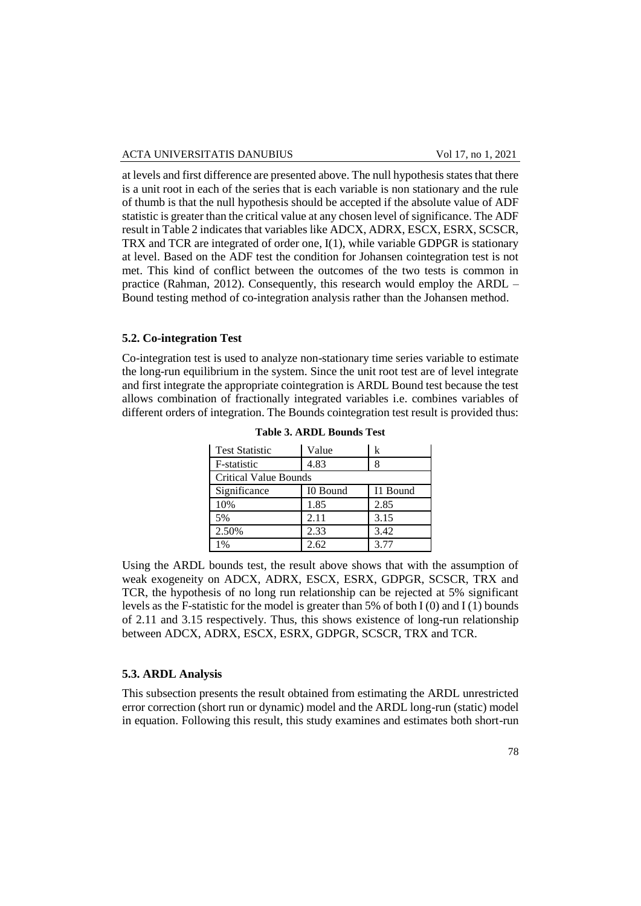at levels and first difference are presented above. The null hypothesis states that there is a unit root in each of the series that is each variable is non stationary and the rule of thumb is that the null hypothesis should be accepted if the absolute value of ADF statistic is greater than the critical value at any chosen level of significance. The ADF result in Table 2 indicates that variables like ADCX, ADRX, ESCX, ESRX, SCSCR, TRX and TCR are integrated of order one, I(1), while variable GDPGR is stationary at level. Based on the ADF test the condition for Johansen cointegration test is not met. This kind of conflict between the outcomes of the two tests is common in practice (Rahman, 2012). Consequently, this research would employ the ARDL – Bound testing method of co-integration analysis rather than the Johansen method.

#### **5.2. Co-integration Test**

Co-integration test is used to analyze non-stationary time series variable to estimate the long-run equilibrium in the system. Since the unit root test are of level integrate and first integrate the appropriate cointegration is ARDL Bound test because the test allows combination of fractionally integrated variables i.e. combines variables of different orders of integration. The Bounds cointegration test result is provided thus:

| <b>Test Statistic</b> | Value    | k        |
|-----------------------|----------|----------|
| F-statistic           | 4.83     | 8        |
| Critical Value Bounds |          |          |
| Significance          | I0 Bound | I1 Bound |
| 10%                   | 1.85     | 2.85     |
| 5%                    | 2.11     | 3.15     |
| 2.50%                 | 2.33     | 3.42     |
| 1%                    | 2.62     | 3.77     |

|  |  | <b>Table 3. ARDL Bounds Test</b> |  |
|--|--|----------------------------------|--|
|--|--|----------------------------------|--|

Using the ARDL bounds test, the result above shows that with the assumption of weak exogeneity on ADCX, ADRX, ESCX, ESRX, GDPGR, SCSCR, TRX and TCR, the hypothesis of no long run relationship can be rejected at 5% significant levels as the F-statistic for the model is greater than 5% of both I (0) and I (1) bounds of 2.11 and 3.15 respectively. Thus, this shows existence of long-run relationship between ADCX, ADRX, ESCX, ESRX, GDPGR, SCSCR, TRX and TCR.

#### **5.3. ARDL Analysis**

This subsection presents the result obtained from estimating the ARDL unrestricted error correction (short run or dynamic) model and the ARDL long-run (static) model in equation. Following this result, this study examines and estimates both short-run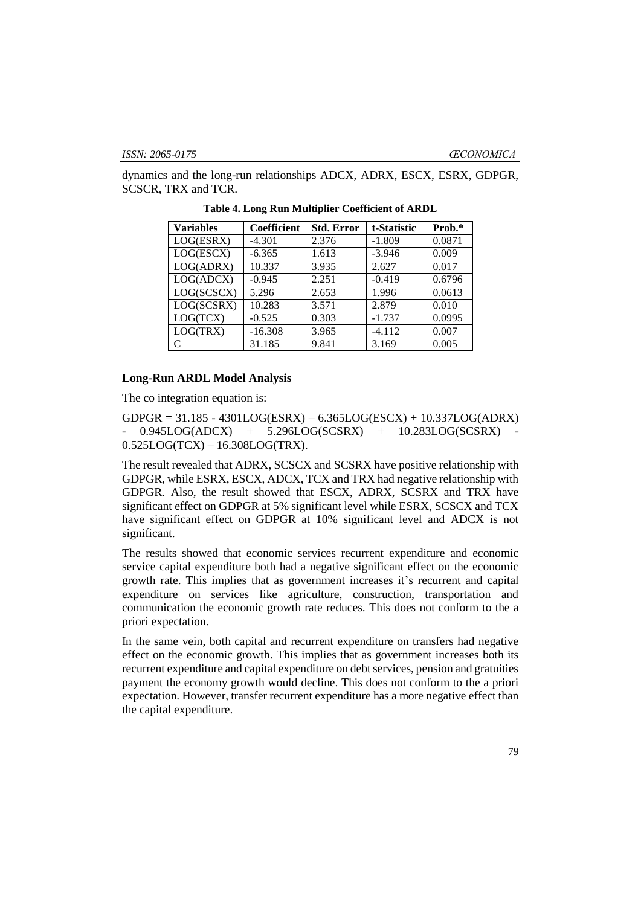dynamics and the long-run relationships ADCX, ADRX, ESCX, ESRX, GDPGR, SCSCR, TRX and TCR.

| <b>Variables</b> | Coefficient | <b>Std. Error</b> | t-Statistic | Prob.* |
|------------------|-------------|-------------------|-------------|--------|
| LOG(ESRX)        | $-4.301$    | 2.376             | $-1.809$    | 0.0871 |
| LOG(ESCX)        | $-6.365$    | 1.613             | $-3.946$    | 0.009  |
| LOG(ADRX)        | 10.337      | 3.935             | 2.627       | 0.017  |
| LOG(ADCX)        | $-0.945$    | 2.251             | $-0.419$    | 0.6796 |
| LOG(SCSCX)       | 5.296       | 2.653             | 1.996       | 0.0613 |
| LOG(SCSRX)       | 10.283      | 3.571             | 2.879       | 0.010  |
| LOG(TCX)         | $-0.525$    | 0.303             | $-1.737$    | 0.0995 |
| LOG(TRX)         | $-16.308$   | 3.965             | $-4.112$    | 0.007  |
|                  | 31.185      | 9.841             | 3.169       | 0.005  |

**Table 4. Long Run Multiplier Coefficient of ARDL**

#### **Long-Run ARDL Model Analysis**

The co integration equation is:

GDPGR = 31.185 - 4301LOG(ESRX) – 6.365LOG(ESCX) + 10.337LOG(ADRX) 0.945LOG(ADCX) + 5.296LOG(SCSRX) + 10.283LOG(SCSRX) 0.525LOG(TCX) – 16.308LOG(TRX).

The result revealed that ADRX, SCSCX and SCSRX have positive relationship with GDPGR, while ESRX, ESCX, ADCX, TCX and TRX had negative relationship with GDPGR. Also, the result showed that ESCX, ADRX, SCSRX and TRX have significant effect on GDPGR at 5% significant level while ESRX, SCSCX and TCX have significant effect on GDPGR at 10% significant level and ADCX is not significant.

The results showed that economic services recurrent expenditure and economic service capital expenditure both had a negative significant effect on the economic growth rate. This implies that as government increases it's recurrent and capital expenditure on services like agriculture, construction, transportation and communication the economic growth rate reduces. This does not conform to the a priori expectation.

In the same vein, both capital and recurrent expenditure on transfers had negative effect on the economic growth. This implies that as government increases both its recurrent expenditure and capital expenditure on debt services, pension and gratuities payment the economy growth would decline. This does not conform to the a priori expectation. However, transfer recurrent expenditure has a more negative effect than the capital expenditure.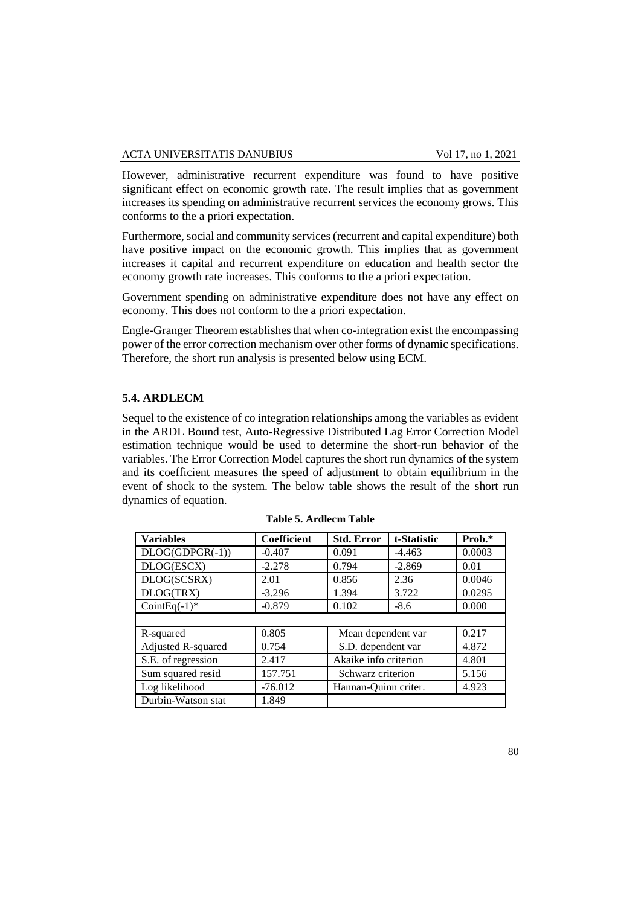However, administrative recurrent expenditure was found to have positive significant effect on economic growth rate. The result implies that as government increases its spending on administrative recurrent services the economy grows. This conforms to the a priori expectation.

Furthermore, social and community services (recurrent and capital expenditure) both have positive impact on the economic growth. This implies that as government increases it capital and recurrent expenditure on education and health sector the economy growth rate increases. This conforms to the a priori expectation.

Government spending on administrative expenditure does not have any effect on economy. This does not conform to the a priori expectation.

Engle-Granger Theorem establishes that when co-integration exist the encompassing power of the error correction mechanism over other forms of dynamic specifications. Therefore, the short run analysis is presented below using ECM.

#### **5.4. ARDLECM**

Sequel to the existence of co integration relationships among the variables as evident in the ARDL Bound test, Auto-Regressive Distributed Lag Error Correction Model estimation technique would be used to determine the short-run behavior of the variables. The Error Correction Model captures the short run dynamics of the system and its coefficient measures the speed of adjustment to obtain equilibrium in the event of shock to the system. The below table shows the result of the short run dynamics of equation.

| <b>Variables</b>   | <b>Coefficient</b> | <b>Std. Error</b>     | t-Statistic | Prob.* |
|--------------------|--------------------|-----------------------|-------------|--------|
| $DLOG(GDPGR(-1))$  | $-0.407$           | 0.091                 | $-4.463$    | 0.0003 |
| DLOG(ESCX)         | $-2.278$           | 0.794                 | $-2.869$    | 0.01   |
| DLOG(SCSRX)        | 2.01               | 0.856                 | 2.36        | 0.0046 |
| DLOG(TRX)          | $-3.296$           | 1.394                 | 3.722       | 0.0295 |
| CointEq $(-1)^*$   | $-0.879$           | 0.102                 | $-8.6$      | 0.000  |
|                    |                    |                       |             |        |
| R-squared          | 0.805              | Mean dependent var    |             | 0.217  |
| Adjusted R-squared | 0.754              | S.D. dependent var    |             | 4.872  |
| S.E. of regression | 2.417              | Akaike info criterion |             | 4.801  |
| Sum squared resid  | 157.751            | Schwarz criterion     |             | 5.156  |
| Log likelihood     | $-76.012$          | Hannan-Quinn criter.  |             | 4.923  |
| Durbin-Watson stat | 1.849              |                       |             |        |

|  |  | <b>Table 5. Ardlecm Table</b> |  |
|--|--|-------------------------------|--|
|--|--|-------------------------------|--|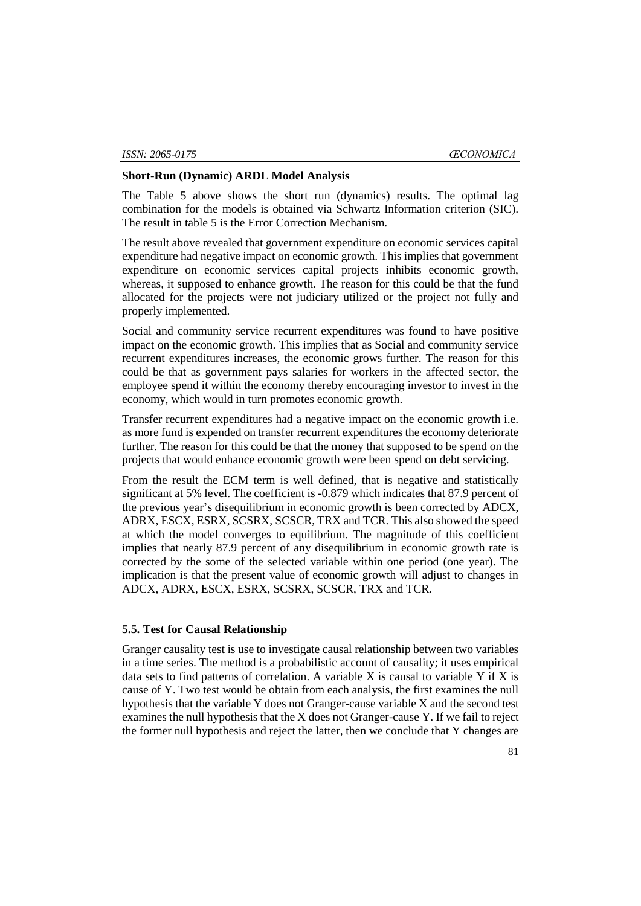### **Short-Run (Dynamic) ARDL Model Analysis**

The Table 5 above shows the short run (dynamics) results. The optimal lag combination for the models is obtained via Schwartz Information criterion (SIC). The result in table 5 is the Error Correction Mechanism.

The result above revealed that government expenditure on economic services capital expenditure had negative impact on economic growth. This implies that government expenditure on economic services capital projects inhibits economic growth, whereas, it supposed to enhance growth. The reason for this could be that the fund allocated for the projects were not judiciary utilized or the project not fully and properly implemented.

Social and community service recurrent expenditures was found to have positive impact on the economic growth. This implies that as Social and community service recurrent expenditures increases, the economic grows further. The reason for this could be that as government pays salaries for workers in the affected sector, the employee spend it within the economy thereby encouraging investor to invest in the economy, which would in turn promotes economic growth.

Transfer recurrent expenditures had a negative impact on the economic growth i.e. as more fund is expended on transfer recurrent expenditures the economy deteriorate further. The reason for this could be that the money that supposed to be spend on the projects that would enhance economic growth were been spend on debt servicing.

From the result the ECM term is well defined, that is negative and statistically significant at 5% level. The coefficient is -0.879 which indicates that 87.9 percent of the previous year's disequilibrium in economic growth is been corrected by ADCX, ADRX, ESCX, ESRX, SCSRX, SCSCR, TRX and TCR. This also showed the speed at which the model converges to equilibrium. The magnitude of this coefficient implies that nearly 87.9 percent of any disequilibrium in economic growth rate is corrected by the some of the selected variable within one period (one year). The implication is that the present value of economic growth will adjust to changes in ADCX, ADRX, ESCX, ESRX, SCSRX, SCSCR, TRX and TCR.

# **5.5. Test for Causal Relationship**

Granger causality test is use to investigate causal relationship between two variables in a time series. The method is a probabilistic account of causality; it uses empirical data sets to find patterns of correlation. A variable  $X$  is causal to variable  $Y$  if  $X$  is cause of Y. Two test would be obtain from each analysis, the first examines the null hypothesis that the variable Y does not Granger-cause variable X and the second test examines the null hypothesis that the X does not Granger-cause Y. If we fail to reject the former null hypothesis and reject the latter, then we conclude that Y changes are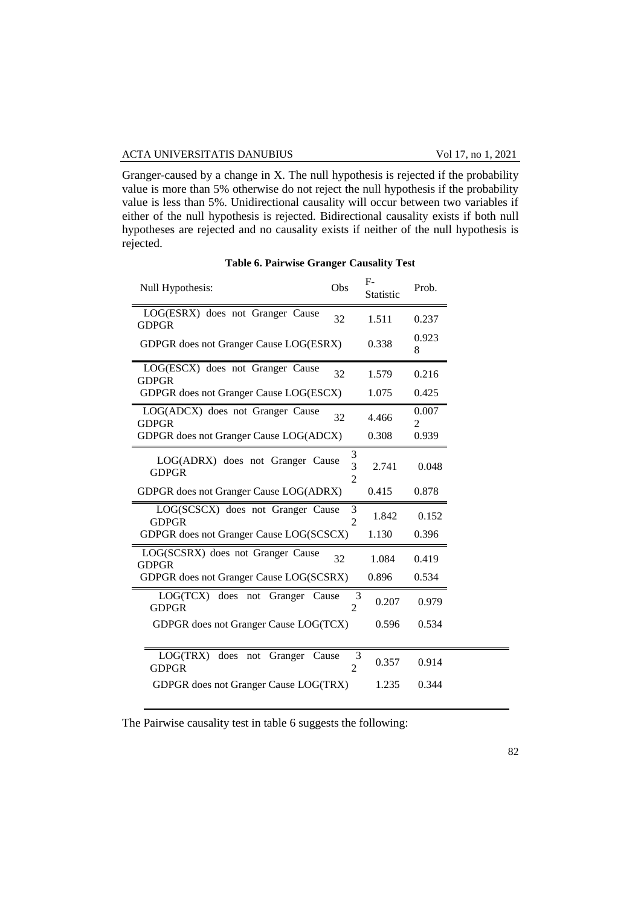#### ACTA UNIVERSITATIS DANUBIUS Vol 17, no 1, 2021

Granger-caused by a change in X. The null hypothesis is rejected if the probability value is more than 5% otherwise do not reject the null hypothesis if the probability value is less than 5%. Unidirectional causality will occur between two variables if either of the null hypothesis is rejected. Bidirectional causality exists if both null hypotheses are rejected and no causality exists if neither of the null hypothesis is rejected.

| Null Hypothesis:                                  | Obs                                   | F-<br>Statistic | Prob.                   |
|---------------------------------------------------|---------------------------------------|-----------------|-------------------------|
| LOG(ESRX) does not Granger Cause<br><b>GDPGR</b>  | 32                                    | 1.511           | 0.237                   |
| GDPGR does not Granger Cause LOG(ESRX)            |                                       | 0.338           | 0.923<br>8              |
| LOG(ESCX) does not Granger Cause<br><b>GDPGR</b>  | 32                                    | 1.579           | 0.216                   |
| GDPGR does not Granger Cause LOG(ESCX)            |                                       | 1.075           | 0.425                   |
| LOG(ADCX) does not Granger Cause<br><b>GDPGR</b>  | 32                                    | 4.466           | 0.007<br>$\overline{2}$ |
| GDPGR does not Granger Cause LOG(ADCX)            |                                       | 0.308           | 0.939                   |
| LOG(ADRX) does not Granger Cause<br><b>GDPGR</b>  | 3<br>$\overline{3}$<br>$\overline{2}$ | 2.741           | 0.048                   |
| GDPGR does not Granger Cause LOG(ADRX)            |                                       | 0.415           | 0.878                   |
| LOG(SCSCX) does not Granger Cause<br><b>GDPGR</b> | 3<br>$\overline{2}$                   | 1.842           | 0.152                   |
| GDPGR does not Granger Cause LOG(SCSCX)           |                                       | 1.130           | 0.396                   |
| LOG(SCSRX) does not Granger Cause<br><b>GDPGR</b> | 32                                    | 1.084           | 0.419                   |
| GDPGR does not Granger Cause LOG(SCSRX)           |                                       | 0.896           | 0.534                   |
| LOG(TCX) does not Granger<br><b>GDPGR</b>         | Cause<br>3<br>$\overline{2}$          | 0.207           | 0.979                   |
| GDPGR does not Granger Cause LOG(TCX)             |                                       | 0.596           | 0.534                   |
| LOG(TRX) does not<br>Granger                      | 3<br>Cause                            |                 |                         |
| <b>GDPGR</b>                                      | $\overline{2}$                        | 0.357           | 0.914                   |
| GDPGR does not Granger Cause LOG(TRX)             |                                       | 1.235           | 0.344                   |

## **Table 6. Pairwise Granger Causality Test**

The Pairwise causality test in table 6 suggests the following: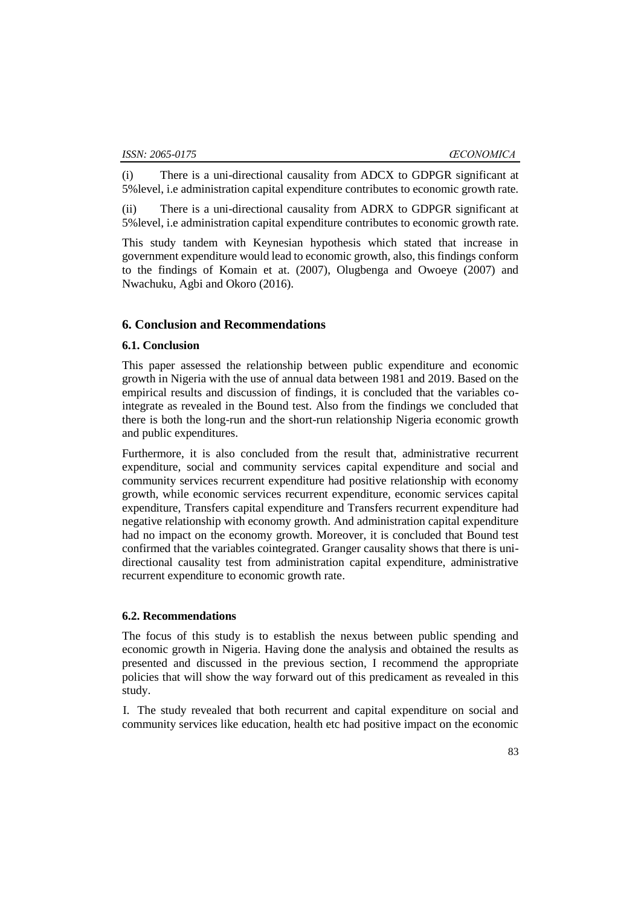(i) There is a uni-directional causality from ADCX to GDPGR significant at 5%level, i.e administration capital expenditure contributes to economic growth rate.

(ii) There is a uni-directional causality from ADRX to GDPGR significant at 5%level, i.e administration capital expenditure contributes to economic growth rate.

This study tandem with Keynesian hypothesis which stated that increase in government expenditure would lead to economic growth, also, this findings conform to the findings of Komain et at. (2007), Olugbenga and Owoeye (2007) and Nwachuku, Agbi and Okoro (2016).

# **6. Conclusion and Recommendations**

### **6.1. Conclusion**

This paper assessed the relationship between public expenditure and economic growth in Nigeria with the use of annual data between 1981 and 2019. Based on the empirical results and discussion of findings, it is concluded that the variables cointegrate as revealed in the Bound test. Also from the findings we concluded that there is both the long-run and the short-run relationship Nigeria economic growth and public expenditures.

Furthermore, it is also concluded from the result that, administrative recurrent expenditure, social and community services capital expenditure and social and community services recurrent expenditure had positive relationship with economy growth, while economic services recurrent expenditure, economic services capital expenditure, Transfers capital expenditure and Transfers recurrent expenditure had negative relationship with economy growth. And administration capital expenditure had no impact on the economy growth. Moreover, it is concluded that Bound test confirmed that the variables cointegrated. Granger causality shows that there is unidirectional causality test from administration capital expenditure, administrative recurrent expenditure to economic growth rate.

#### **6.2. Recommendations**

The focus of this study is to establish the nexus between public spending and economic growth in Nigeria. Having done the analysis and obtained the results as presented and discussed in the previous section, I recommend the appropriate policies that will show the way forward out of this predicament as revealed in this study.

I. The study revealed that both recurrent and capital expenditure on social and community services like education, health etc had positive impact on the economic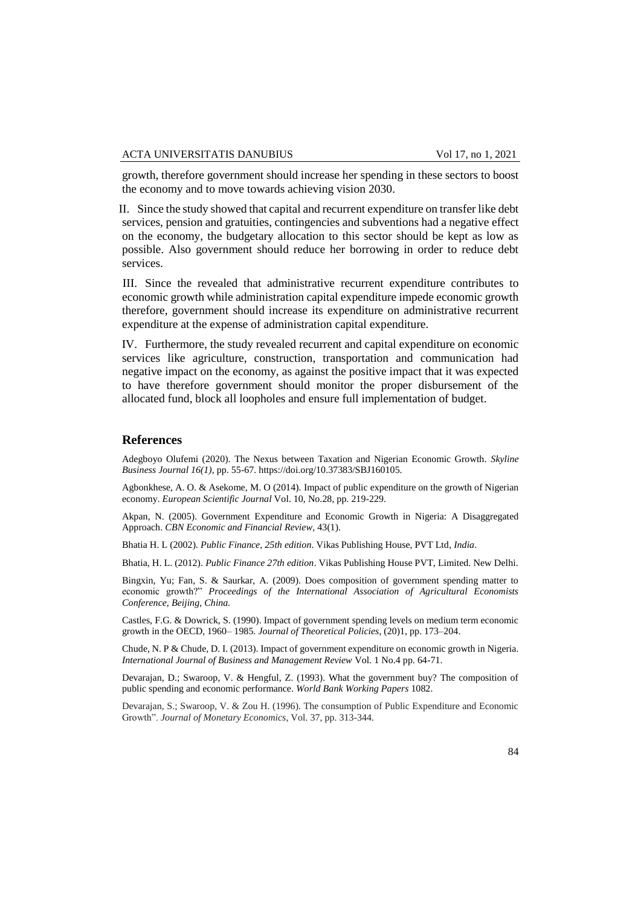growth, therefore government should increase her spending in these sectors to boost the economy and to move towards achieving vision 2030.

II. Since the study showed that capital and recurrent expenditure on transfer like debt services, pension and gratuities, contingencies and subventions had a negative effect on the economy, the budgetary allocation to this sector should be kept as low as possible. Also government should reduce her borrowing in order to reduce debt services.

III. Since the revealed that administrative recurrent expenditure contributes to economic growth while administration capital expenditure impede economic growth therefore, government should increase its expenditure on administrative recurrent expenditure at the expense of administration capital expenditure.

IV. Furthermore, the study revealed recurrent and capital expenditure on economic services like agriculture, construction, transportation and communication had negative impact on the economy, as against the positive impact that it was expected to have therefore government should monitor the proper disbursement of the allocated fund, block all loopholes and ensure full implementation of budget.

#### **References**

Adegboyo Olufemi (2020). The Nexus between Taxation and Nigerian Economic Growth. *Skyline Business Journal 16(1)*, pp. 55-67. https://doi.org/10.37383/SBJ160105.

Agbonkhese, A. O. & Asekome, M. O (2014). Impact of public expenditure on the growth of Nigerian economy. *European Scientific Journal* Vol. 10, No.28, pp. 219-229.

Akpan, N. (2005). Government Expenditure and Economic Growth in Nigeria: A Disaggregated Approach. *CBN Economic and Financial Review,* 43(1).

Bhatia H. L (2002). *Public Finance, 25th edition*. Vikas Publishing House, PVT Ltd*, India*.

Bhatia, H. L. (2012). *Public Finance 27th edition*. Vikas Publishing House PVT, Limited. New Delhi.

Bingxin, Yu; Fan, S. & Saurkar, A. (2009). Does composition of government spending matter to economic growth?" *Proceedings of the International Association of Agricultural Economists Conference, Beijing, China.*

Castles, F.G. & Dowrick, S. (1990). Impact of government spending levels on medium term economic growth in the OECD, 1960– 1985. *Journal of Theoretical Policies*, (20)1, pp. 173–204.

Chude, N. P & Chude, D. I. (2013). Impact of government expenditure on economic growth in Nigeria. *International Journal of Business and Management Review* Vol. 1 No.4 pp. 64-71.

Devarajan, D.; Swaroop, V. & Hengful, Z. (1993). What the government buy? The composition of public spending and economic performance. *World Bank Working Papers* 1082.

Devarajan, S.; Swaroop, V. & Zou H. (1996). The consumption of Public Expenditure and Economic Growth". *Journal of Monetary Economics*, Vol. 37, pp. 313-344.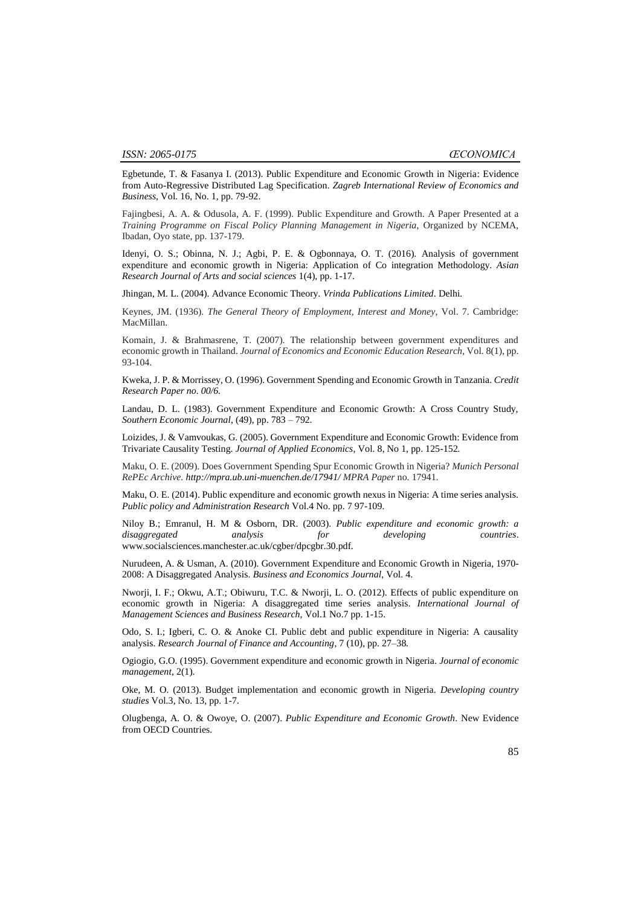Egbetunde, T. & Fasanya I. (2013). Public Expenditure and Economic Growth in Nigeria: Evidence from Auto-Regressive Distributed Lag Specification. *Zagreb International Review of Economics and Business,* Vol. 16, No. 1, pp. 79-92.

Fajingbesi, A. A. & Odusola, A. F. (1999). Public Expenditure and Growth. A Paper Presented at a *Training Programme on Fiscal Policy Planning Management in Nigeria*, Organized by NCEMA, Ibadan, Oyo state, pp. 137-179.

Idenyi, O. S.; Obinna, N. J.; Agbi, P. E. & Ogbonnaya, O. T. (2016). Analysis of government expenditure and economic growth in Nigeria: Application of Co integration Methodology. *Asian Research Journal of Arts and social sciences* 1(4), pp. 1-17.

Jhingan, M. L. (2004). Advance Economic Theory. *Vrinda Publications Limited*. Delhi*.*

Keynes, JM. (1936). *The General Theory of Employment, Interest and Money*, Vol. 7. Cambridge: MacMillan.

Komain, J. & Brahmasrene, T. (2007). The relationship between government expenditures and economic growth in Thailand. *Journal of Economics and Economic Education Research*, Vol. 8(1), pp. 93-104.

Kweka, J. P. & Morrissey, O. (1996). Government Spending and Economic Growth in Tanzania. *Credit Research Paper no. 00/6.*

Landau, D. L. (1983). Government Expenditure and Economic Growth: A Cross Country Study, *Southern Economic Journal*, (49), pp. 783 – 792*.*

Loizides, J. & Vamvoukas, G. (2005). Government Expenditure and Economic Growth: Evidence from Trivariate Causality Testing. *Journal of Applied Economics*, Vol. 8, No 1, pp. 125-152*.*

Maku, O. E. (2009). Does Government Spending Spur Economic Growth in Nigeria? *Munich Personal RePEc Archive. http://mpra.ub.uni-muenchen.de/17941/ MPRA Paper* no. 17941*.*

Maku, O. E. (2014). Public expenditure and economic growth nexus in Nigeria: A time series analysis. *Public policy and Administration Research* Vol.4 No. pp. 7 97-109.

Niloy B.; Emranul, H. M & Osborn, DR. (2003). *Public expenditure and economic growth: a disaggregated analysis for developing countries*. www.socialsciences.manchester.ac.uk/cgber/dpcgbr.30.pdf.

Nurudeen, A. & Usman, A. (2010). Government Expenditure and Economic Growth in Nigeria, 1970- 2008: A Disaggregated Analysis. *Business and Economics Journal*, Vol. 4.

Nworji, I. F.; Okwu, A.T.; Obiwuru, T.C. & Nworji, L. O. (2012). Effects of public expenditure on economic growth in Nigeria: A disaggregated time series analysis*. International Journal of Management Sciences and Business Research,* Vol.1 No.7 pp. 1-15.

Odo, S. I.; Igberi, C. O. & Anoke CI. Public debt and public expenditure in Nigeria: A causality analysis. *Research Journal of Finance and Accounting*, 7 (10), pp. 27–38*.*

Ogiogio, G.O. (1995). Government expenditure and economic growth in Nigeria. *Journal of economic management*, 2(1).

Oke, M. O. (2013). Budget implementation and economic growth in Nigeria. *Developing country studies* Vol.3, No. 13, pp. 1-7.

Olugbenga, A. O. & Owoye, O. (2007). *Public Expenditure and Economic Growth*. New Evidence from OECD Countries.